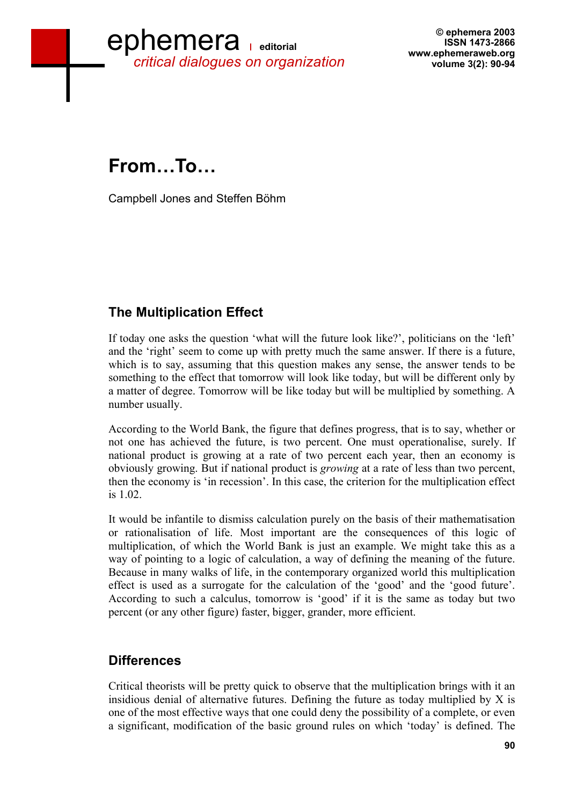

**© ephemera 2003 ISSN 1473-2866 www.ephemeraweb.org volume 3(2): 90-94** 

**From…To…** 

Campbell Jones and Steffen Böhm

## **The Multiplication Effect**

If today one asks the question 'what will the future look like?', politicians on the 'left' and the 'right' seem to come up with pretty much the same answer. If there is a future, which is to say, assuming that this question makes any sense, the answer tends to be something to the effect that tomorrow will look like today, but will be different only by a matter of degree. Tomorrow will be like today but will be multiplied by something. A number usually.

According to the World Bank, the figure that defines progress, that is to say, whether or not one has achieved the future, is two percent. One must operationalise, surely. If national product is growing at a rate of two percent each year, then an economy is obviously growing. But if national product is *growing* at a rate of less than two percent, then the economy is 'in recession'. In this case, the criterion for the multiplication effect is 1.02.

It would be infantile to dismiss calculation purely on the basis of their mathematisation or rationalisation of life. Most important are the consequences of this logic of multiplication, of which the World Bank is just an example. We might take this as a way of pointing to a logic of calculation, a way of defining the meaning of the future. Because in many walks of life, in the contemporary organized world this multiplication effect is used as a surrogate for the calculation of the 'good' and the 'good future'. According to such a calculus, tomorrow is 'good' if it is the same as today but two percent (or any other figure) faster, bigger, grander, more efficient.

## **Differences**

Critical theorists will be pretty quick to observe that the multiplication brings with it an insidious denial of alternative futures. Defining the future as today multiplied by X is one of the most effective ways that one could deny the possibility of a complete, or even a significant, modification of the basic ground rules on which 'today' is defined. The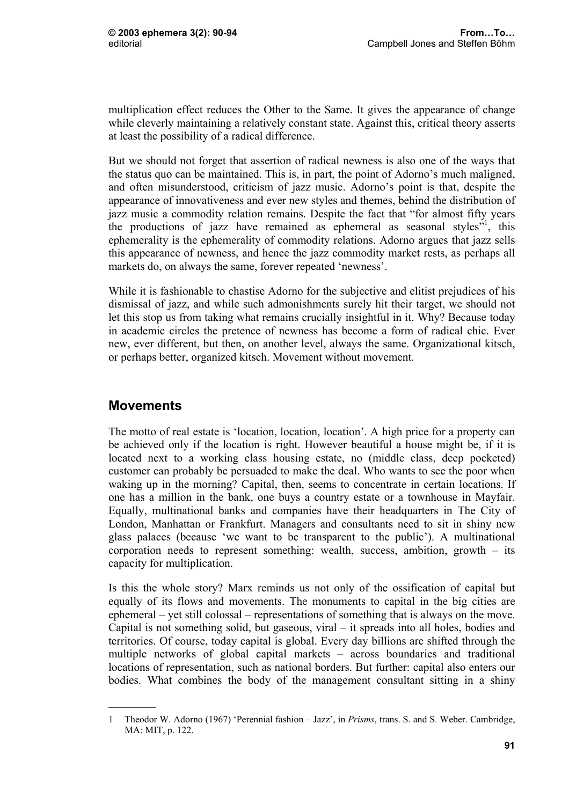multiplication effect reduces the Other to the Same. It gives the appearance of change while cleverly maintaining a relatively constant state. Against this, critical theory asserts at least the possibility of a radical difference.

But we should not forget that assertion of radical newness is also one of the ways that the status quo can be maintained. This is, in part, the point of Adorno's much maligned, and often misunderstood, criticism of jazz music. Adorno's point is that, despite the appearance of innovativeness and ever new styles and themes, behind the distribution of jazz music a commodity relation remains. Despite the fact that "for almost fifty years the productions of jazz have remained as ephemeral as seasonal styles<sup> $51$ </sup>, this ephemerality is the ephemerality of commodity relations. Adorno argues that jazz sells this appearance of newness, and hence the jazz commodity market rests, as perhaps all markets do, on always the same, forever repeated 'newness'.

While it is fashionable to chastise Adorno for the subjective and elitist prejudices of his dismissal of jazz, and while such admonishments surely hit their target, we should not let this stop us from taking what remains crucially insightful in it. Why? Because today in academic circles the pretence of newness has become a form of radical chic. Ever new, ever different, but then, on another level, always the same. Organizational kitsch, or perhaps better, organized kitsch. Movement without movement.

## **Movements**

The motto of real estate is 'location, location, location'. A high price for a property can be achieved only if the location is right. However beautiful a house might be, if it is located next to a working class housing estate, no (middle class, deep pocketed) customer can probably be persuaded to make the deal. Who wants to see the poor when waking up in the morning? Capital, then, seems to concentrate in certain locations. If one has a million in the bank, one buys a country estate or a townhouse in Mayfair. Equally, multinational banks and companies have their headquarters in The City of London, Manhattan or Frankfurt. Managers and consultants need to sit in shiny new glass palaces (because 'we want to be transparent to the public'). A multinational corporation needs to represent something: wealth, success, ambition, growth – its capacity for multiplication.

Is this the whole story? Marx reminds us not only of the ossification of capital but equally of its flows and movements. The monuments to capital in the big cities are ephemeral – yet still colossal – representations of something that is always on the move. Capital is not something solid, but gaseous, viral – it spreads into all holes, bodies and territories. Of course, today capital is global. Every day billions are shifted through the multiple networks of global capital markets – across boundaries and traditional locations of representation, such as national borders. But further: capital also enters our bodies. What combines the body of the management consultant sitting in a shiny

<sup>1</sup> Theodor W. Adorno (1967) 'Perennial fashion – Jazz', in *Prisms*, trans. S. and S. Weber. Cambridge, MA: MIT, p. 122.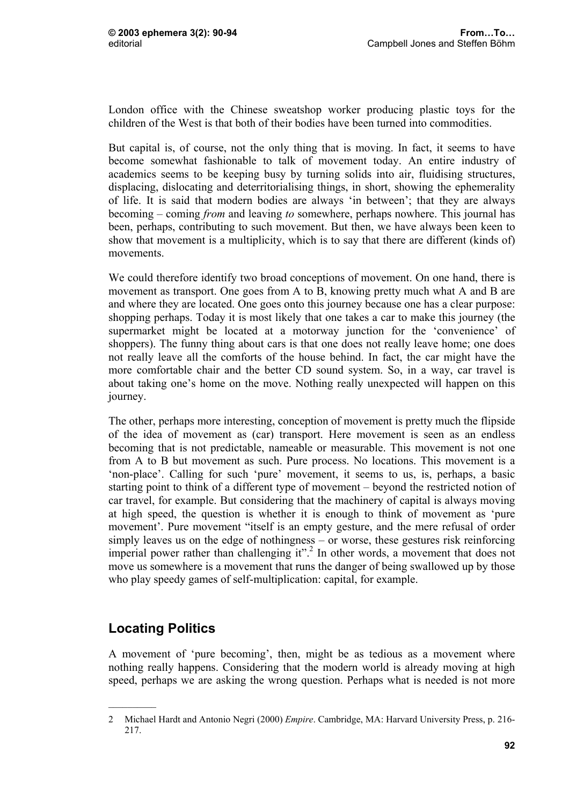London office with the Chinese sweatshop worker producing plastic toys for the children of the West is that both of their bodies have been turned into commodities.

But capital is, of course, not the only thing that is moving. In fact, it seems to have become somewhat fashionable to talk of movement today. An entire industry of academics seems to be keeping busy by turning solids into air, fluidising structures, displacing, dislocating and deterritorialising things, in short, showing the ephemerality of life. It is said that modern bodies are always 'in between'; that they are always becoming – coming *from* and leaving *to* somewhere, perhaps nowhere. This journal has been, perhaps, contributing to such movement. But then, we have always been keen to show that movement is a multiplicity, which is to say that there are different (kinds of) movements.

We could therefore identify two broad conceptions of movement. On one hand, there is movement as transport. One goes from A to B, knowing pretty much what A and B are and where they are located. One goes onto this journey because one has a clear purpose: shopping perhaps. Today it is most likely that one takes a car to make this journey (the supermarket might be located at a motorway junction for the 'convenience' of shoppers). The funny thing about cars is that one does not really leave home; one does not really leave all the comforts of the house behind. In fact, the car might have the more comfortable chair and the better CD sound system. So, in a way, car travel is about taking one's home on the move. Nothing really unexpected will happen on this journey.

The other, perhaps more interesting, conception of movement is pretty much the flipside of the idea of movement as (car) transport. Here movement is seen as an endless becoming that is not predictable, nameable or measurable. This movement is not one from A to B but movement as such. Pure process. No locations. This movement is a 'non-place'. Calling for such 'pure' movement, it seems to us, is, perhaps, a basic starting point to think of a different type of movement – beyond the restricted notion of car travel, for example. But considering that the machinery of capital is always moving at high speed, the question is whether it is enough to think of movement as 'pure movement'. Pure movement "itself is an empty gesture, and the mere refusal of order simply leaves us on the edge of nothingness – or worse, these gestures risk reinforcing imperial power rather than challenging it".<sup>2</sup> In other words, a movement that does not move us somewhere is a movement that runs the danger of being swallowed up by those who play speedy games of self-multiplication: capital, for example.

## **Locating Politics**

A movement of 'pure becoming', then, might be as tedious as a movement where nothing really happens. Considering that the modern world is already moving at high speed, perhaps we are asking the wrong question. Perhaps what is needed is not more

<sup>2</sup> Michael Hardt and Antonio Negri (2000) *Empire*. Cambridge, MA: Harvard University Press, p. 216- 217.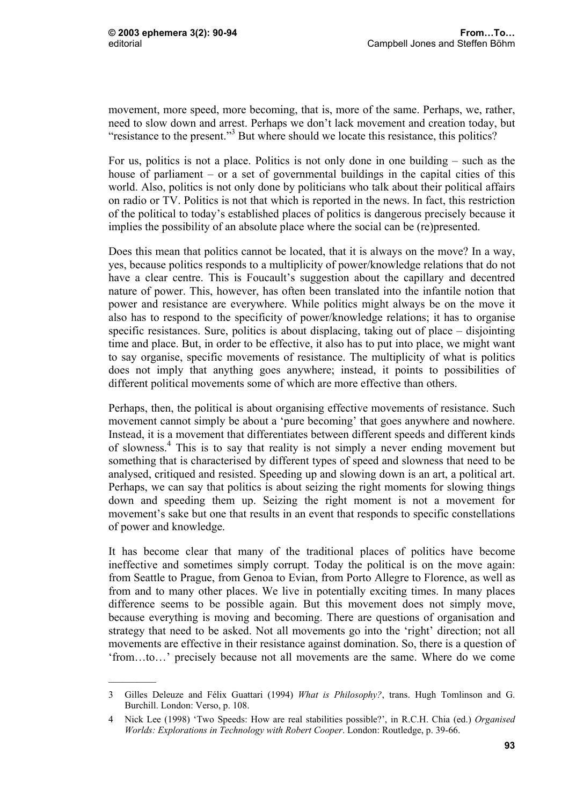$\frac{1}{2}$ 

movement, more speed, more becoming, that is, more of the same. Perhaps, we, rather, need to slow down and arrest. Perhaps we don't lack movement and creation today, but "resistance to the present."<sup>3</sup> But where should we locate this resistance, this politics?

For us, politics is not a place. Politics is not only done in one building – such as the house of parliament – or a set of governmental buildings in the capital cities of this world. Also, politics is not only done by politicians who talk about their political affairs on radio or TV. Politics is not that which is reported in the news. In fact, this restriction of the political to today's established places of politics is dangerous precisely because it implies the possibility of an absolute place where the social can be (re)presented.

Does this mean that politics cannot be located, that it is always on the move? In a way, yes, because politics responds to a multiplicity of power/knowledge relations that do not have a clear centre. This is Foucault's suggestion about the capillary and decentred nature of power. This, however, has often been translated into the infantile notion that power and resistance are everywhere. While politics might always be on the move it also has to respond to the specificity of power/knowledge relations; it has to organise specific resistances. Sure, politics is about displacing, taking out of place – disjointing time and place. But, in order to be effective, it also has to put into place, we might want to say organise, specific movements of resistance. The multiplicity of what is politics does not imply that anything goes anywhere; instead, it points to possibilities of different political movements some of which are more effective than others.

Perhaps, then, the political is about organising effective movements of resistance. Such movement cannot simply be about a 'pure becoming' that goes anywhere and nowhere. Instead, it is a movement that differentiates between different speeds and different kinds of slowness.4 This is to say that reality is not simply a never ending movement but something that is characterised by different types of speed and slowness that need to be analysed, critiqued and resisted. Speeding up and slowing down is an art, a political art. Perhaps, we can say that politics is about seizing the right moments for slowing things down and speeding them up. Seizing the right moment is not a movement for movement's sake but one that results in an event that responds to specific constellations of power and knowledge.

It has become clear that many of the traditional places of politics have become ineffective and sometimes simply corrupt. Today the political is on the move again: from Seattle to Prague, from Genoa to Evian, from Porto Allegre to Florence, as well as from and to many other places. We live in potentially exciting times. In many places difference seems to be possible again. But this movement does not simply move, because everything is moving and becoming. There are questions of organisation and strategy that need to be asked. Not all movements go into the 'right' direction; not all movements are effective in their resistance against domination. So, there is a question of 'from…to…' precisely because not all movements are the same. Where do we come

<sup>3</sup> Gilles Deleuze and Félix Guattari (1994) *What is Philosophy?*, trans. Hugh Tomlinson and G. Burchill. London: Verso, p. 108.

<sup>4</sup> Nick Lee (1998) 'Two Speeds: How are real stabilities possible?', in R.C.H. Chia (ed.) *Organised Worlds: Explorations in Technology with Robert Cooper*. London: Routledge, p. 39-66.